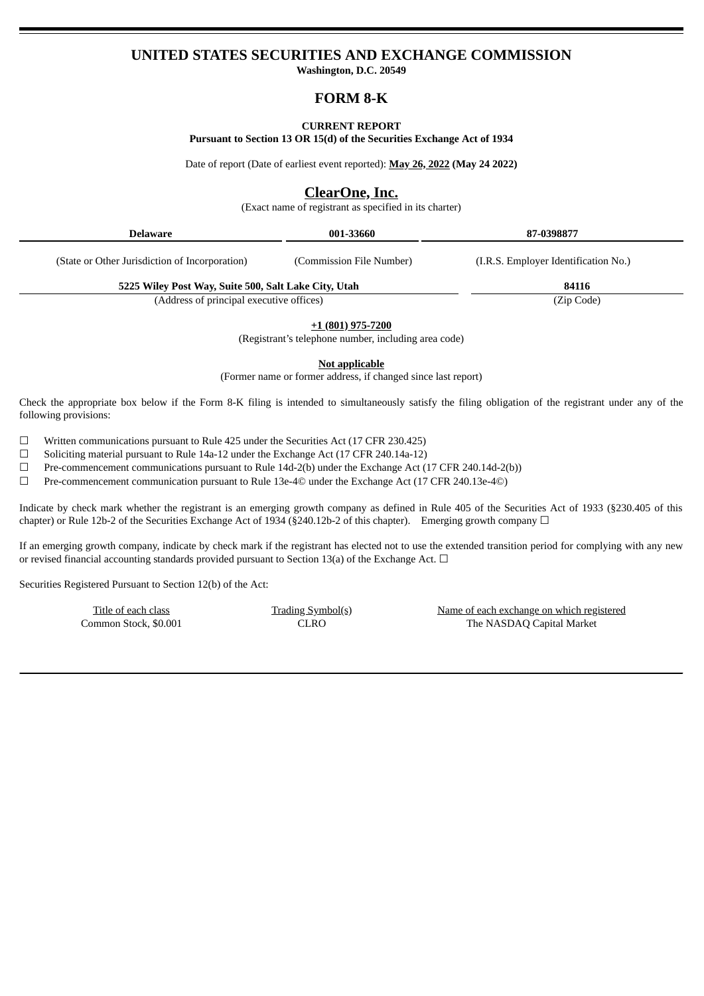# **UNITED STATES SECURITIES AND EXCHANGE COMMISSION**

**Washington, D.C. 20549**

# **FORM 8-K**

#### **CURRENT REPORT**

**Pursuant to Section 13 OR 15(d) of the Securities Exchange Act of 1934**

Date of report (Date of earliest event reported): **May 26, 2022 (May 24 2022)**

## **ClearOne, Inc.**

(Exact name of registrant as specified in its charter)

| Delaware                                             | 001-33660                                                                        | 87-0398877                           |
|------------------------------------------------------|----------------------------------------------------------------------------------|--------------------------------------|
| (State or Other Jurisdiction of Incorporation)       | (Commission File Number)                                                         | (I.R.S. Employer Identification No.) |
| 5225 Wiley Post Way, Suite 500, Salt Lake City, Utah |                                                                                  | 84116                                |
| (Address of principal executive offices)             |                                                                                  | (Zip Code)                           |
|                                                      | <u>+1 (801) 975-7200</u><br>(Registrant's telephone number, including area code) |                                      |
|                                                      | Not applicable                                                                   |                                      |
|                                                      | (Former name or former address, if changed since last report)                    |                                      |

Check the appropriate box below if the Form 8-K filing is intended to simultaneously satisfy the filing obligation of the registrant under any of the following provisions:

 $\Box$  Written communications pursuant to Rule 425 under the Securities Act (17 CFR 230.425)

☐ Soliciting material pursuant to Rule 14a-12 under the Exchange Act (17 CFR 240.14a-12)

 $\Box$  Pre-commencement communications pursuant to Rule 14d-2(b) under the Exchange Act (17 CFR 240.14d-2(b))

☐ Pre-commencement communication pursuant to Rule 13e-4© under the Exchange Act (17 CFR 240.13e-4©)

Indicate by check mark whether the registrant is an emerging growth company as defined in Rule 405 of the Securities Act of 1933 (§230.405 of this chapter) or Rule 12b-2 of the Securities Exchange Act of 1934 (§240.12b-2 of this chapter). Emerging growth company  $\Box$ 

If an emerging growth company, indicate by check mark if the registrant has elected not to use the extended transition period for complying with any new or revised financial accounting standards provided pursuant to Section 13(a) of the Exchange Act.  $\Box$ 

Securities Registered Pursuant to Section 12(b) of the Act:

Title of each class Trading Symbol(s) Name of each exchange on which registered Common Stock, \$0.001 CLRO The NASDAQ Capital Market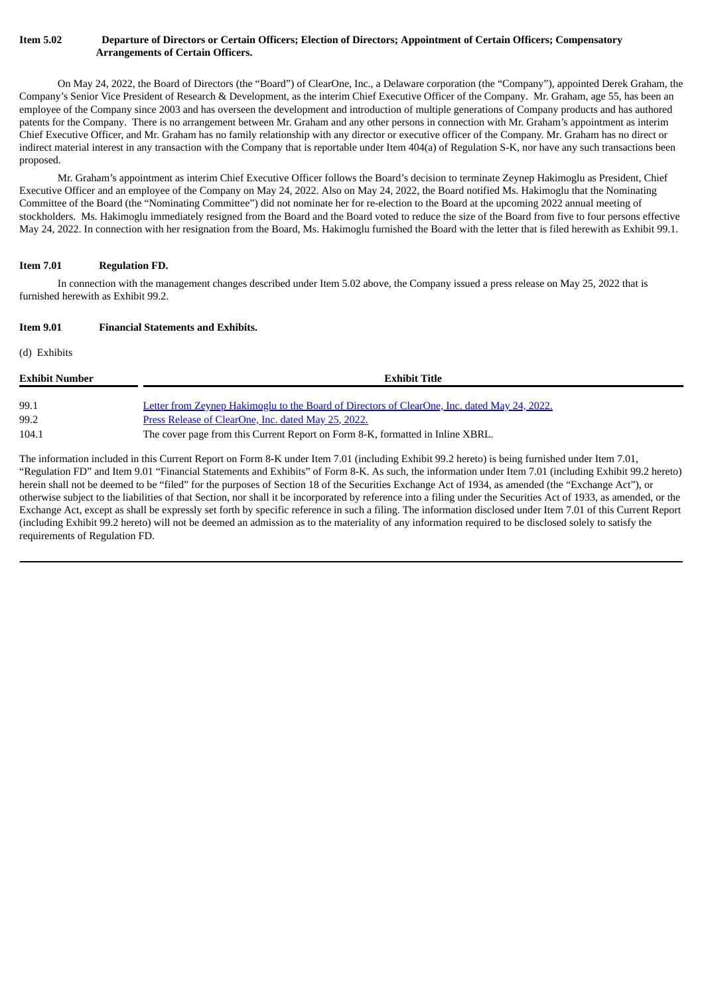### Item 5.02 Departure of Directors or Certain Officers; Election of Directors; Appointment of Certain Officers; Compensatory **Arrangements of Certain Officers.**

On May 24, 2022, the Board of Directors (the "Board") of ClearOne, Inc., a Delaware corporation (the "Company"), appointed Derek Graham, the Company's Senior Vice President of Research & Development, as the interim Chief Executive Officer of the Company. Mr. Graham, age 55, has been an employee of the Company since 2003 and has overseen the development and introduction of multiple generations of Company products and has authored patents for the Company. There is no arrangement between Mr. Graham and any other persons in connection with Mr. Graham's appointment as interim Chief Executive Officer, and Mr. Graham has no family relationship with any director or executive officer of the Company. Mr. Graham has no direct or indirect material interest in any transaction with the Company that is reportable under Item 404(a) of Regulation S-K, nor have any such transactions been proposed.

Mr. Graham's appointment as interim Chief Executive Officer follows the Board's decision to terminate Zeynep Hakimoglu as President, Chief Executive Officer and an employee of the Company on May 24, 2022. Also on May 24, 2022, the Board notified Ms. Hakimoglu that the Nominating Committee of the Board (the "Nominating Committee") did not nominate her for re-election to the Board at the upcoming 2022 annual meeting of stockholders. Ms. Hakimoglu immediately resigned from the Board and the Board voted to reduce the size of the Board from five to four persons effective May 24, 2022. In connection with her resignation from the Board, Ms. Hakimoglu furnished the Board with the letter that is filed herewith as Exhibit 99.1.

## **Item 7.01 Regulation FD.**

In connection with the management changes described under Item 5.02 above, the Company issued a press release on May 25, 2022 that is furnished herewith as Exhibit 99.2.

### **Item 9.01 Financial Statements and Exhibits.**

(d) Exhibits

| Exhibit Number | <b>Exhibit Title</b>                                                                         |
|----------------|----------------------------------------------------------------------------------------------|
|                |                                                                                              |
| 99.1           | Letter from Zeynep Hakimoglu to the Board of Directors of ClearOne, Inc. dated May 24, 2022. |
| 99.2           | Press Release of ClearOne, Inc. dated May 25, 2022.                                          |
| 104.1          | The cover page from this Current Report on Form 8-K, formatted in Inline XBRL.               |

The information included in this Current Report on Form 8-K under Item 7.01 (including Exhibit 99.2 hereto) is being furnished under Item 7.01, "Regulation FD" and Item 9.01 "Financial Statements and Exhibits" of Form 8-K. As such, the information under Item 7.01 (including Exhibit 99.2 hereto) herein shall not be deemed to be "filed" for the purposes of Section 18 of the Securities Exchange Act of 1934, as amended (the "Exchange Act"), or otherwise subject to the liabilities of that Section, nor shall it be incorporated by reference into a filing under the Securities Act of 1933, as amended, or the Exchange Act, except as shall be expressly set forth by specific reference in such a filing. The information disclosed under Item 7.01 of this Current Report (including Exhibit 99.2 hereto) will not be deemed an admission as to the materiality of any information required to be disclosed solely to satisfy the requirements of Regulation FD.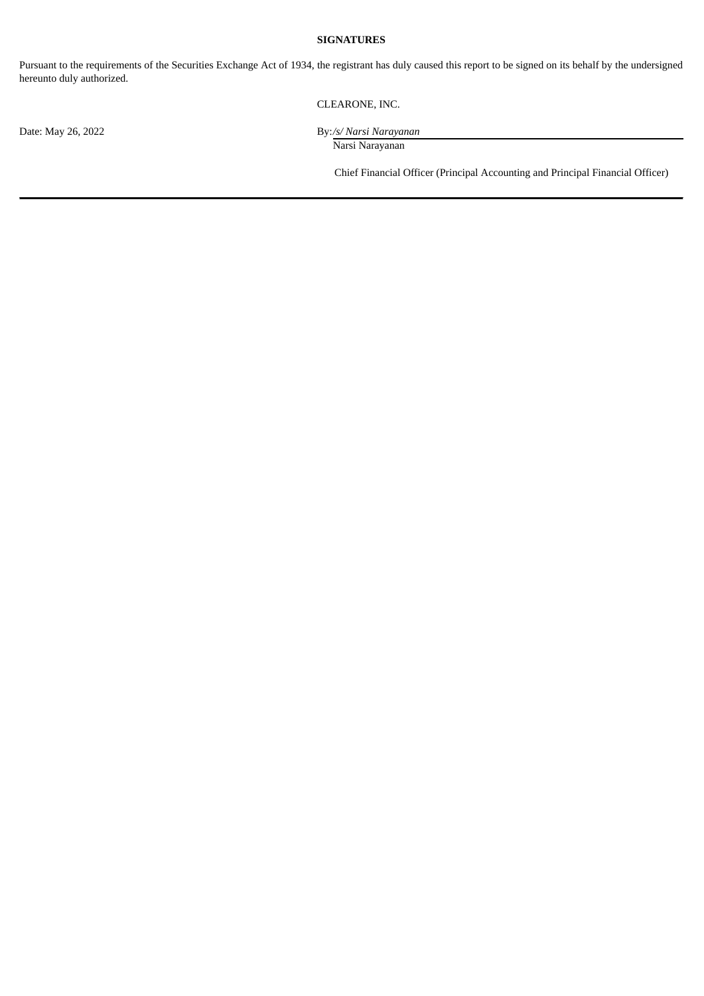## **SIGNATURES**

Pursuant to the requirements of the Securities Exchange Act of 1934, the registrant has duly caused this report to be signed on its behalf by the undersigned hereunto duly authorized.

CLEARONE, INC.

Date: May 26, 2022 By:*/s/ Narsi Narayanan* Narsi Narayanan

Chief Financial Officer (Principal Accounting and Principal Financial Officer)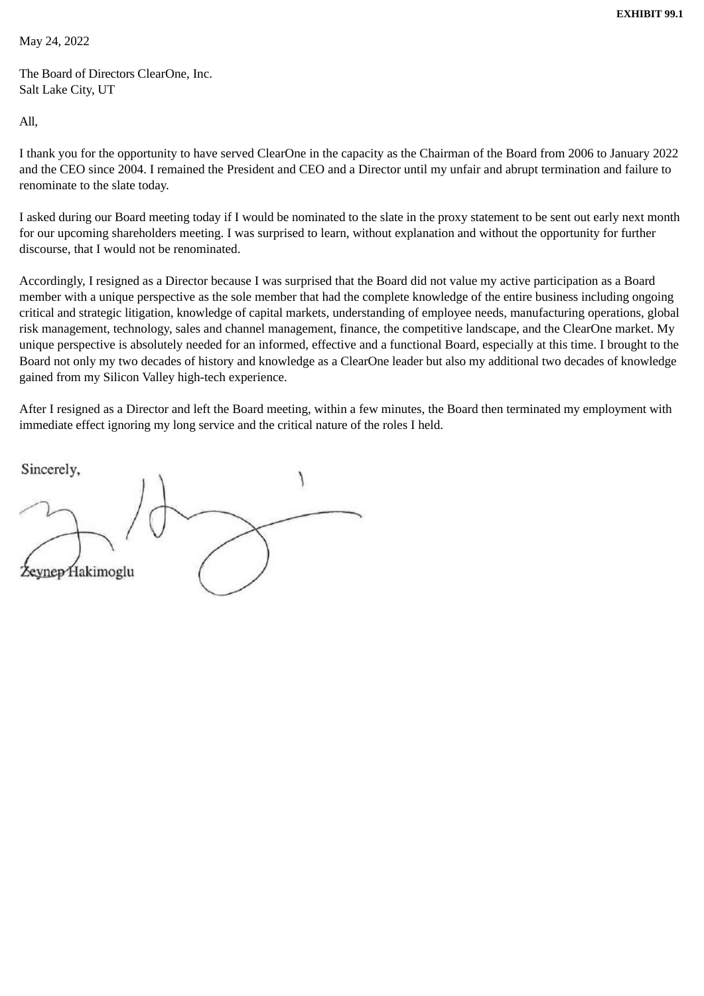<span id="page-3-0"></span>May 24, 2022

The Board of Directors ClearOne, Inc. Salt Lake City, UT

All,

I thank you for the opportunity to have served ClearOne in the capacity as the Chairman of the Board from 2006 to January 2022 and the CEO since 2004. I remained the President and CEO and a Director until my unfair and abrupt termination and failure to renominate to the slate today.

I asked during our Board meeting today if I would be nominated to the slate in the proxy statement to be sent out early next month for our upcoming shareholders meeting. I was surprised to learn, without explanation and without the opportunity for further discourse, that I would not be renominated.

Accordingly, I resigned as a Director because I was surprised that the Board did not value my active participation as a Board member with a unique perspective as the sole member that had the complete knowledge of the entire business including ongoing critical and strategic litigation, knowledge of capital markets, understanding of employee needs, manufacturing operations, global risk management, technology, sales and channel management, finance, the competitive landscape, and the ClearOne market. My unique perspective is absolutely needed for an informed, effective and a functional Board, especially at this time. I brought to the Board not only my two decades of history and knowledge as a ClearOne leader but also my additional two decades of knowledge gained from my Silicon Valley high-tech experience.

After I resigned as a Director and left the Board meeting, within a few minutes, the Board then terminated my employment with immediate effect ignoring my long service and the critical nature of the roles I held.

Sincerely, ynep Hakimoglu